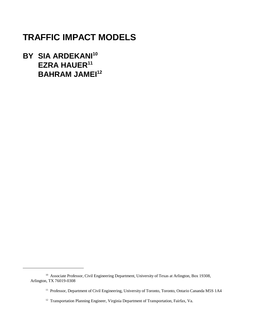# **TRAFFIC IMPACT MODELS**

**BY SIA ARDEKANI<sup>10</sup> EZRA HAUER<sup>11</sup> BAHRAM JAMEI<sup>12</sup>** 

<sup>&</sup>lt;sup>10</sup> Associate Professor, Civil Engineering Department, University of Texas at Arlington, Box 19308, Arlington, TX 76019-0308

<sup>&</sup>lt;sup>11</sup> Professor, Department of Civil Engineering, University of Toronto, Toronto, Ontario Cananda M5S 1A4

<sup>&</sup>lt;sup>12</sup> Transportation Planning Engineer, Virginia Department of Transportation, Fairfax, Va.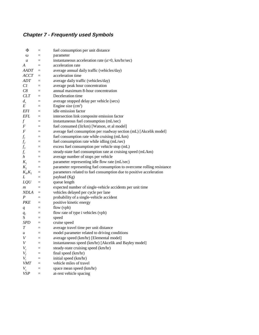# **Chapter 7 - Frequently used Symbols**

| Φ                | $=$               | fuel consumption per unit distance                                     |
|------------------|-------------------|------------------------------------------------------------------------|
| ω                | $=$               | parameter                                                              |
| $\boldsymbol{a}$ | $=$               | instantaneous acceleration rate $(a>0, km/hr/sec)$                     |
| A                | $=$               | acceleration rate                                                      |
| AADT             | $\equiv$          | average annual daily traffic (vehicles/day)                            |
| ACCT             | $\equiv$          | acceleration time                                                      |
| ADT              | $=$               | average daily traffic (vehicles/day)                                   |
| C1               | $=$               | average peak hour concentration                                        |
| C8               | $=$               | annual maximum 8-hour concentration                                    |
| CLT              | $=$               | Deceleration time                                                      |
| $d_{s}$          | $=$               | average stopped delay per vehicle (secs)                               |
| Е                | $=$               | Engine size $(cm3)$                                                    |
| <i>EFI</i>       | $=$               | idle emission factor                                                   |
| EFL              | $=$               | intersection link composite emission factor                            |
| $f_{\parallel}$  | $\equiv$          | instantaneous fuel consumption (mL/sec)                                |
| $\boldsymbol{F}$ | $\equiv$          | fuel consumed (lit/km) [Watson, et al model]                           |
| F                | $\equiv$          | average fuel consumption per roadway section (mL) [Akcelik model]      |
| $f_{I}$          | $\qquad \qquad =$ | fuel consumption rate while cruising (mL/km)                           |
| f <sub>2</sub>   | $\quad \  \  =$   | fuel consumption rate while idling (mL/sec)                            |
| $f_3$            | $\quad \  \  =$   | excess fuel consumption per vehicle stop (mL)                          |
| $f_c$            | $\equiv$          | steady-state fuel consumption rate at cruising speed (mL/km)           |
| $\boldsymbol{h}$ | $\equiv$          | average number of stops per vehicle                                    |
| $K_i$            | $\equiv$          | parameter representing idle flow rate (mL/sec)                         |
| $K_{2}$          | $\equiv$          | parameter representing fuel consumption to overcome rolling resistance |
| $K_{\phi}K_{5}$  | $\equiv$          | parameters related to fuel consumption due to positive acceleration    |
| L                | $=$               | payload (Kg)                                                           |
| LQU              | $=$               | queue length                                                           |
| $\boldsymbol{m}$ | $=$               | expected number of single-vehicle accidents per unit time              |
| NDLA             | $\equiv$          | vehicles delayed per cycle per lane                                    |
| P                | $=$               | probability of a single-vehicle accident                               |
| PKE              | $=$               | positive kinetic energy                                                |
| q                | $\qquad \qquad =$ | flow (vph)                                                             |
| $q_i$            | $=$               | flow rate of type i vehicles (vph)                                     |
| S                | $=$               | speed                                                                  |
| SPD              | $\equiv$          | cruise speed                                                           |
| T                | $\equiv$          | average travel time per unit distance                                  |
| u                | $=$               | model parameter related to driving conditions                          |
| V                | $=$               | average speed (km/hr) [Elemental model]                                |
| V                |                   | instantaneous speed (km/hr) [Akcelik and Bayley model]                 |
| $V_c$            | $=$               | steady-state cruising speed (km/hr)                                    |
| $V_f$            | $=$               | final speed (km/hr)                                                    |
| $V_i$            | $=$               | initial speed (km/hr)                                                  |
| <i>VMT</i>       |                   | vehicle miles of travel                                                |
| $V_{s}$          | $=$               | space mean speed (km/hr)                                               |
| VSP              | $=$               | at-rest vehicle spacing                                                |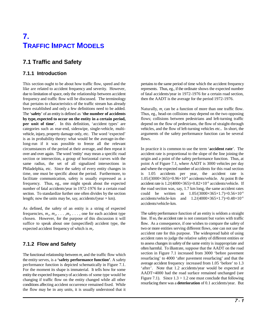# **7. TRAFFIC IMPACT MODELS**

# **7.1 Traffic and Safety**

## **7.1.1 Introduction**

like are related to accident frequency and severity. However, represents. Thus, eg., if the ordinate shows the expected number due to limitation of space, only the relationship between accident of fatal accidents/year in 1972-1976 for a certain road section, frequency and traffic flow will be discussed. The terminology then the AADT is the average for the period 1972-1976. that pertains to characteristics of the traffic stream has already been established and only a few definitions need to be added. The '**safety**' of an entity is defined as '**the number of accidents** Thus, eg., head-on collisions may depend on the two opposing **by type, expected to occur on the entity in a certain period, per unit of time**'. In this definition, 'accident types' are categories such as rear-end, sideswipe, single-vehicle, multivehicle, injury, property damage only, etc. The word 'expected' is as in probability theory: what would be the average-in-thelong-run if it was possible to freeze all the relevant circumstances of the period at their average, and then repeat it In practice it is common to use the term '**accident rate**'. The over and over again. The word 'entity' may mean a specific road accident rate is proportional to the slope of the line joining the section or intersection, a group of horizontal curves with the origin and a point of the safety performance function. Thus, at same radius, the set of all signalized intersections in point A of Figure 7.1, where AADT is 3000 vehicles per day Philadelphia, etc. Since the safety of every entity changes in and where the expected number of accidents for this road section time, one must be specific about the period. Furthermore, to is 1.05 accidents per year, the accident rate is facilitate communication, safety is usually expressed as a  $1.05/(3000\times365)=0.96\times10^{-6}$  accidents/vehicle. At point B the frequency. Thus, eg., one might speak about the expected accident rate is  $1.2/(4000\times365)=0.82\times10^{-6}$  accidents/vehicle. If number of fatal accidents/year in 1972-1976 for a certain road the road section was, say, 1.7 km long, the same accident rates section. To standardize further one often divides by the section

As defined, the safety of an entity is a string of expected frequencies,  $m_1, m_2, \ldots, m_p, \ldots$ , one for each accident type chosen. However, for the purpose of this discussion it will suffice to speak about one (unspecified) accident type, the expected accident frequency of which is  $m_i$ .

# **7.1.2 Flow and Safety**

The functional relationship between  $m_i$  and the traffic flow which the entity serves, is a **'safety performance function'**. A safety performance function is depicted schematically in Figure 7.1. For the moment its shape is immaterial. It tells how for some entity the expected frequency of accidents of some type would be changing if traffic flow on the entity changed while all other conditions affecting accident occurrence remained fixed. While the flow may be in any units, it is usually understood that it

This section ought to be about how traffic flow, speed and the pertains to the same period of time which the accident frequency

Naturally,  $m_i$  can be a function of more than one traffic flow. flows; collisions between pedestrians and left-turning traffic depend on the flow of pedestrians, the flow of straight-through vehicles, and the flow of left-turning vehicles etc.. In short, the arguments of the safety performance function can be several flows.

length; now the units may be, say, accidents/(year  $\times$  km). accidents/vehicle-km and  $1.2/(4000\times365\times1.7)=0.48\times10^{-6}$ could be written as  $1.05/(3000 \times 365 \times 1.7) = 0.56 \times 10^{-6}$ accidents/vehicle-km.

> The safety performance function of an entity is seldom a straight line. If so, the accident rate is not constant but varies with traffic flow. As a consequence, if one wishes to compare the safety of two or more entities serving different flows, one can not use the accident rate for this purpose. The widespread habit of using accident rates to judge the relative safety of different entities or to assess changes in safety of the same entity is inappropriate and often harmful. To illustrate, suppose that the AADT on the road section in Figure 7.1 increased from 3000 'before pavement resurfacing' to 4000 'after pavement resurfacing' and that the average accident frequency increased from 1.05 'before' to 1.3 'after'. Note that 1.2 accidents/year would be expected at AADT=4000 had the road surface remained unchanged (see Figure 7.1). Since  $1.3 > 1.2$  one must conclude that following resurfacing there was a **deterioration** of 0.1 accidents/year. But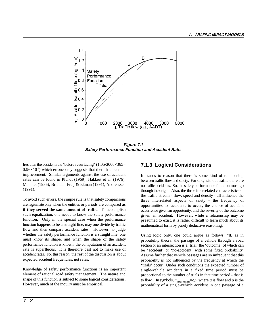

**Figure 7.1 Safety Performance Function and Accident Rate.**

**less** than the accident rate 'before resurfacing' (1.05/3000×365=  $0.96\times10^{-6}$ ) which erroneously suggests that there has been an improvement. Similar arguments against the use of accident rates can be found in Pfundt (1969), Hakkert et al. (1976), Mahalel (1986), Brundell-Freij & Ekman (1991), Andreassen (1991).

To avoid such errors, the simple rule is that safety comparisons are legitimate only when the entities or periods are compared **as if they served the same amount of traffic**. To accomplish such equalization, one needs to know the safety performance function. Only in the special case when the performance function happens to be a straight line, may one divide by traffic flow and then compare accident rates. However, to judge whether the safety performance function is a straight line, one must know its shape, and when the shape of the safety performance function is known, the computation of an accident rate is superfluous. It is therefore best not to make use of accident rates. For this reason, the rest of the discussion is about expected accident frequencies, not rates.

Knowledge of safety performance functions is an important element of rational road safety management. The nature and shape of this function is subject to some logical considerations. However, much of the inquiry must be empirical.

# **7.1.3 Logical Considerations**

It stands to reason that there is some kind of relationship between traffic flow and safety. For one, without traffic there are no traffic accidents. So, the safety performance function must go through the origin. Also, the three interrelated characteristics of the traffic stream - flow, speed and density - all influence the three interrelated aspects of safety - the frequency of opportunities for accidents to occur, the chance of accident occurrence given an opportunity, and the severity of the outcome given an accident. However, while a relationship may be presumed to exist, it is rather difficult to learn much about its mathematical form by purely deductive reasoning.

Using logic only, one could argue as follows: "If, as in probability theory, the passage of a vehicle through a road section or an intersection is a 'trial' the 'outcome' of which can be 'accident' or 'no-accident' with some fixed probability. Assume further that vehicle passages are so infrequent that this probability is not influenced by the frequency at which the 'trials' occur. Under such conditions the expected number of single-vehicle accidents in a fixed time period must be proportional to the number of trials in that time period - that is to flow." In symbols,  $m_{single\text{-}vehicle} = qp$ , where q is flow and p is the probability of a single-vehicle accident in one passage of a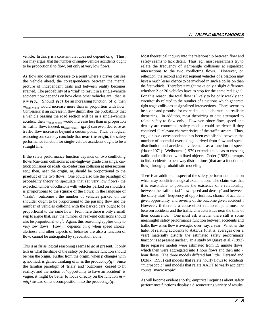vehicle. In this, *p* is a constant that does not depend on *q*. Thus, one may argue, that the number of single-vehicle accidents ought to be proportional to flow, but only at very low flows.

As flow and density increase to a point where a driver can see the vehicle ahead, the correspondence between the mental picture of independent trials and between reality becomes strained. The probability of a 'trial' to result in a single-vehicle accident now depends on how close other vehicles are; that is  $p = p(q)$ . Should  $p(q)$  be an increasing function of *q*, then  $m_{single-while}$  would increase more than in proportion with flow. Conversely, if an increase in flow diminishes the probability that a vehicle passing the road section will be in a single-vehicle accident, then  $m_{\text{single-vehicle}}$  would increase less than in proportion to traffic flow; indeed,  $m_{\text{single-vehicle}} = qp(q)$  can even decrease as traffic flow increases beyond a certain point. Thus, by logical reasoning one can only conclude that **near the origin**, the safety performance function for single-vehicle accidents ought to be a straight line.

If the safety performance function depends on two conflicting flows (car-train collisions at rail-highway grade crossings, cartruck collisions on roads, car-pedestrian collision at intersections etc.) then, near the origin,  $m<sub>i</sub>$  should be proportional to the **product** of the two flows. One could also use the paradigm of probability theory to speculate that (at very low flows) the expected number of collisions with vehicles parked on shoulders is proportional to the **square** of the flows: in the language of 'trials', 'outcomes', the number of vehicles parked on the shoulder ought to be proportional to the passing flow and the number of vehicles colliding with the parked cars ought to be proportional to the same flow. From here there is only a small step to argue that, say, the number of rear-end collisions should also be proportional to  $q^2$ . Again, this reasoning applies only to very low flows. How *m* depends on *q* when speed choice, alertness and other aspects of behavior are also a function of flow, cannot be anticipated by speculation alone.

This is as far as logical reasoning seems to go at present. It only tells us what the shape of the safety performance function should be near the origin. Further from the origin, when *p* changes with *q*, not much is gained thinking of *m* as the product *qp(q)*. Since the familiar paradigm of 'trials' and 'outcomes' ceased to fit reality, and the notion of 'opportunity to have an accident' is vague, it might be better to focus directly on the function  $m =$ *m(q)* instead of its decomposition into the product *qp(q)*.

Most theoretical inquiry into the relationship between flow and safety seems to lack detail. Thus, eg., most researchers try to relate the frequency of right-angle collisions at signalized intersections to the two conflicting flows. However, on reflection, the second and subsequent vehicles of a platoon may have a much lesser chance to be involved in such a collision than the first vehicle. Therefore it might make only a slight difference whether 2 or 20 vehicles have to stop for the same red signal. For this reason, the total flow is likely to be only weakly and circuitously related to the number of situations which generate right angle collisions at signalized intersections. There seems to be scope and promise for more detailed, elaborate and realistic theorizing. In addition, most theorizing to date attempted to relate safety to flow only. However, since flow, speed and density are connected, safety models could be richer if they contained all relevant characteristics of the traffic stream. Thus, eg., a close correspondence has been established between the number of potential overtakings derived from flow and speed distribution and accident involvement as a function of speed (Hauer 1971). Welbourne (1979) extends the ideas to crossing traffic and collisions with fixed objects. Ceder (1982) attempts to link accidents to headway distributions (that are a function of flow) through probabilistic modeling.

There is an additional aspect of the safety performance function which may benefit from logical examination. The claim was that it is reasonable to postulate the existence of a relationship between the traffic triad 'flow, speed and density' and between the safety triad 'frequency of opportunities, chance of accident given opportunity, and severity of the outcome given accident'. However, if there is a cause-effect relationship, it must be between accidents and the traffic characteristics near the time of their occurrence. One must ask whether there still is some meaningful safety performance function between accidents and traffic flow when flow is averaged over, say, a year. Whether the habit of relating accidents to AADTs (that is, averages over a year) materially distorts the estimated safety performance function is at present unclear. In a study by Quaye et al. (1993) three separate models were estimated from 15 minute flows, which then were aggregated into 1 hour flows and then into 7 hour flows. The three models differed but little. Persaud and Dzbik (1993) call models that relate hourly flows to accidents "microscopic" and models that relate AADT to yearly accident counts "macroscopic".

As will become evident shortly, empirical inquiries about safety performance functions display a disconcerting variety of results.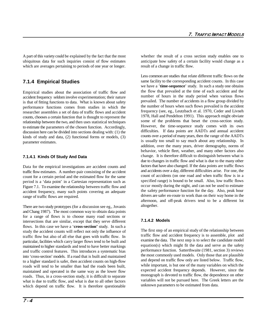A part of this variety could be explained by the fact that the most whether the result of a cross section study enables one to ubiquitous data for such inquiries consist of flow estimates anticipate how safety of a certain facility would change as a which are averages pertaining to periods of one year or longer. result of a change in traffic flow.

# **7.1.4 Empirical Studies**

Empirical studies about the association of traffic flow and accident frequency seldom involve experimentation; their nature is that of fitting functions to data. What is known about safety performance functions comes from studies in which the researcher assembles a set of data of traffic flows and accident counts, chooses a certain function that is thought to represent the relationship between the two, and then uses statistical techniques to estimate the parameters of the chosen function. Accordingly, discussion here can be divided into sections dealing with: (1) the kinds of study and data, (2) functional forms or models, (3) parameter estimates.

### **7.1.4.1 Kinds Of Study And Data**

Data for the empirical investigations are accident counts and traffic flow estimates. A number-pair consisting of the accident count for a certain period and the estimated flow for the same period is a 'data point' in a Cartesian representation such as Figure 7.1. To examine the relationship between traffic flow and accident frequency, many such points covering an adequate range of traffic flows are required.

There are two study prototypes (for a discussion see eg., Jovanis and Chang 1987). The most common way to obtain data points for a range of flows is to choose many road sections or intersections that are similar, except that they serve different flows. In this case we have a '**cross-section'** study. In such a study the accident counts will reflect not only the influence of traffic flow but also of all else that goes with traffic flow. In particular, facilities which carry larger flows tend to be built and maintained to higher standards and tend to have better markings and traffic control features. This introduces a systematic bias into 'cross-section' models. If a road that is built and maintained to a higher standard is safer, then accident counts on high-flow roads will tend to be smaller than had the roads been built, maintained and operated in the same way as the lower flow roads. Thus, in a cross-section study, it is difficult to separate what is due to traffic flow, and what is due to all other factors which depend on traffic flow. It is therefore questionable

Less common are studies that relate different traffic flows on the same facility to the corresponding accident counts. In this case we have a '**time-sequence**' study. In such a study one obtains the flow that prevailed at the time of each accident and the number of hours in the study period when various flows prevailed. The number of accidents in a flow group divided by the number of hours when such flows prevailed is the accident frequency (see, eg., Leutzbach et al. 1970, Ceder and Livneh 1978, Hall and Pendelton 1991). This approach might obviate some of the problems that beset the cross-section study. However, the time-sequence study comes with its own difficulties. If data points are AADTs and annual accident counts over a period of many years, then the range of the AADTs is usually too small to say much about any relationship. In addition, over the many years, driver demography, norms of behavior, vehicle fleet, weather, and many other factors also change. It is therefore difficult to distinguish between what is due to changes in traffic flow and what is due to the many other factors that have also changed. If the data points are traffic flows and accidents over a day, different difficulties arise. For one, the count of accidents (on one road and when traffic flow is in a specified range) is bound to be small. Also, low traffic flows occur mostly during the night, and can not be used to estimate the safety performance function for the day. Also, peak hour drivers are safer en-route to work than on their way home in the afternoon, and off-peak drivers tend to be a different lot altogether.

### **7.1.4.2 Models**

The first step of an empirical study of the relationship between traffic flow and accident frequency is to assemble, plot and examine the data. The next step is to select the candidate model equation(s) which might fit the data and serve as the safety performance function. Satterthwaite (1981, section 3) reviews the most commonly used models. Only those that are plausible and depend on traffic flow only are listed below. Traffic flow, while important, is but one of the many variables on which the expected accident frequency depends. However, since the monograph is devoted to traffic flow, the dependence on other variables will not be pursued here. The Greek letters are the unknown parameters to be estimated from data.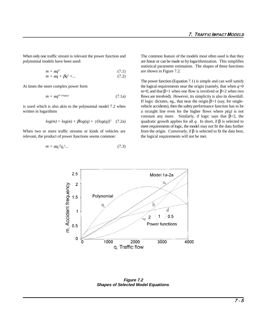When only one traffic stream is relevant the power function and The common feature of the models most often used is that they polynomial models have been used: are linear or can be made so by logarithmization. This simplifies

$$
m = \alpha q^{\beta} \tag{7.1}
$$

$$
m = \alpha q + \beta q^2 + \dots \tag{7.2}
$$

At times the more complex power form

$$
m = \alpha q^{\beta + \gamma \log(q)} \tag{7.1a}
$$

is used which is also akin to the polynomial model 7.2 when written in logarithms **a** straight line even for the higher flows where  $p(q)$  is not

$$
log(m) = log(\alpha) + \beta log(q) + \gamma [log(q)]^2
$$
 (7.2a)

relevant, the product of power functions seems common: the logical requirements will not be met.

$$
m = \alpha q_1^{\beta} q_2^{\gamma} \dots \tag{7.3}
$$

statistical parameter estimation. The shapes of these functions are shown in Figure 7.2.

constant any more. Similarly, if logic says that  $\beta=2$ , the quadratic growth applies for all *q*. In short, if  $\beta$  is selected to When two or more traffic streams or kinds of vehicles are from the origin. Conversely, if  $\beta$  is selected to fit the data best, The power function (Equation 7.1) is simple and can well satisfy the logical requirements near the origin (namely, that when  $q=0$  $m=0$ , and that  $\beta=1$  when one flow is involved or  $\beta=2$  when two flows are involved). However, its simplicity is also its downfall. If logic dictates, eg., that near the origin  $\beta=1$  (say, for singlevehicle accidents), then the safety performance function has to be meet requirements of logic, the model may not fit the data further



**Figure 7.2 Shapes of Selected Model Equations**.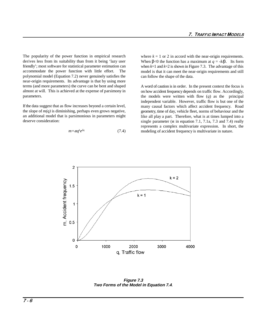The popularity of the power function in empirical research derives less from its suitability than from it being 'lazy user friendly'; most software for statistical parameter estimation can accommodate the power function with little effort. The polynomial model (Equation 7.2) never genuinely satisfies the near-origin requirements. Its advantage is that by using more terms (and more parameters) the curve can be bent and shaped almost at will. This is achieved at the expense of parsimony in parameters.

If the data suggest that as flow increases beyond a certain level, the slope of  $m(q)$  is diminishing, perhaps even grows negative, an additional model that is parsimonious in parameters might deserve consideration:

$$
m = \alpha q^k e^{\beta q} \tag{7.4}
$$

where  $k = 1$  or 2 in accord with the near-origin requirements. When  $\beta$ <0 the function has a maximum at  $q = -k/\beta$ . Its form when  $k=1$  and  $k=2$  is shown in Figure 7.3. The advantage of this model is that it can meet the near-origin requirements and still can follow the shape of the data.

A word of caution is in order. In the present context the focus is on how accident frequency depends on traffic flow. Accordingly, the models were written with flow (*q*) as the principal independent variable. However, traffic flow is but one of the many causal factors which affect accident frequency. Road geometry, time of day, vehicle fleet, norms of behaviour and the like all play a part. Therefore, what is at times lumped into a single parameter ( $\alpha$  in equation 7.1, 7.1a, 7.3 and 7.4) really represents a complex multivariate expression. In short, the modeling of accident frequency is multivariate in nature.



**Figure 7.3 Two Forms of the Model in Equation 7.4**.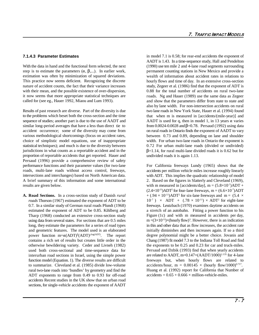With the data in hand and the functional form selected, the next step is to estimate the parameters  $(\alpha, \beta,...)$ . In earlier work, estimation was often by minimization of squared deviations. This practice now seems deficient. Recognizing the discrete nature of accident counts, the fact that their variance increases with their mean, and the possible existence of over-dispersion, it now seems that more appropriate statistical techniques are called for (see eg., Hauer 1992, Miaou and Lum 1993).

Results of past research are diverse. Part of the diversity is due to the problems which beset both the cross-section and the time sequence of studies; another part is due to the use of AADT and similar long-period averages that have a less than direct tie to accident occurrence; some of the diversity may come from various methodological shortcomings (focus on accident rates, choice of simplistic model equations, use of inappropriate statistical techniques); and much is due to the diversity between jurisdictions in what counts as a reportable accident and in the proportion of reportable accidents that get reported. Hauer and Persaud (1996) provide a comprehensive review of safety performance functions and their parameter values (for two-lane roads, multi-lane roads without access control, freeways, intersections and interchanges) based on North American data. A brief summary of this information and some international results are given below.

A. Road Sections. In a cross-section study of Danish *rural roads* Thorson (1967) estimated the exponent of ADT to be 0.7. In a similar study of German rural roads Pfundt (1968) estimated the exponent of ADT to be 0.85. Kihlberg and Tharp (1968) conducted an extensive cross-section study using data from several states. For sections that are 0.5 miles long, they estimate the parameters for a series of road types and geometric features. The model used is an elaborated power function  $m = \alpha (ADT)^{\beta} (ADT)^{\gamma \log (ADT)}$ . The report contains a rich set of results but creates little order in the otherwise bewildering variety. Ceder and Livneh (1982) used both cross-sectional and time-sequence data for interurban road sections in Israel, using the simple power function model (Equation. 1). The diverse results are difficult to summarize. Cleveland et al. (1985) divide low-volume rural two-lane roads into 'bundles' by geometry and find the ADT exponents to range from 0.49 to 0.93 for off-road accidents Recent studies in the UK show that on urban road sections, for single-vehicle accidents the exponent of AADT

**7.1.4.3 Parameter Estimates** in model 7.1 is 0.58; for rear-end accidents the exponent of AADT is 1.43. In a time-sequence study, Hall and Pendelton (1990) use ten mile 2 and 4-lane road segments surrounding permanent counting stations in New Mexico and provide a wealth of information about accident rates in relations to hourly flows and time of day. In an extensive cross-section study, Zegeer et al. (1986) find that the exponent of ADT is 0.88 for the total number of accidents on rural two-lane roads. Ng and Hauer (1989) use the same data as Zegeer and show that the parameters differ from state to state and also by lane width. For non-intersection accidents on rural two lane roads in New York State, Hauer et al. (1994) found that when m is measured in [accidents/(mile-year)] and AADT is used for q, then in model 1, in 13 years  $\alpha$  varies from 0.0024-0.0028 and  $\beta$ =0.78. Persaud (1992) using data on rural roads in Ontario finds the exponent of AADT to vary between 0.73 and 0.89, depending on lane and shoulder width. For urban two-lane roads in Ontario the exponent is 0.72 For urban multi-lane roads (divided or undivided)  $\beta$ =1.14, for rural multi-lane divided roads it is 0.62 but for undivided roads it is again 1.13.

> For California freeways Lundy (1965) shows that the accidents per million vehicle miles increase roughly linearly with ADT. This implies the quadratic relationship of model 2. Based on the figures in Slatterly and Cleveland (1969), with m measured in [accidents/day],  $m = (5.8 \times 10^{-7})$ ADT +  $(2.4\times10^{-11})$ ADT<sup>2</sup> for four-lane freeways, m =  $(6.6\times10^{-7})$ ADT  $+(0.94 \times 10^{-11})$ ADT<sup>2</sup> for six-lane freeways and m =  $(5.4 \times$  $10^{-7}$   $\times$  ADT +  $(.78 \times 10^{-11}) \times$  ADT<sup>2</sup> for eight-lane freeways. Leutzbach (1970) examines daytime accidents on a stretch of an autobahn. Fitting a power function to his Figure (1c) and with m measured in accidents per day,  $m = (3 \times 10^{-11}) \times (hourly flow)^3$ . However, there is an indication in this and other data that as flow increases, the accident rate initially diminishes and then increases again. If so a third degree polynomial might be a better choice. Jovanis and Chang (1987) fit model 7.3 to the Indiana Toll Road and find the exponents to be 0.25 and 0.23 for car and truck-miles. Persaud and Dzbik (1993) find that when yearly accidents are related to AADT, m=0.147 $\times$ (AADT/1000)<sup>1.135</sup> for 4-lane freeways but, when hourly flows are related to accidents/hour, m =  $0.00145 \times$  (hourly flow/1000)<sup>0.717</sup>. Huang et al. (1992) report for California that Number of  $accidents = 0.65 + 0.666 \times million- vehicle-miles.$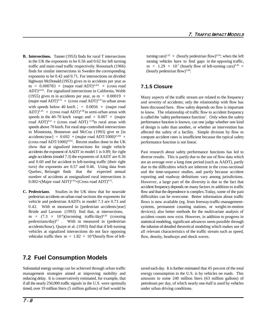- **B. Intersections.** Tanner (1953) finds for rural T intersections in the UK the exponents to be  $0.56$  and  $0.62$  for left turning turning vehicles have to find gaps in the opposing traffic, traffic and main road traffic respectively. Roosmark (1966) m =  $1.29 \times 10^{-7}$  (hourly flow of left-turning cars)<sup>0.36</sup> × finds for similar intersections in Sweden the corresponding exponents to be 0.42 and 0.71. For intersections on divided highways McDonald (1953) gives m in accidents per year as  $m = 0.000783 \times (major road ADT)^{0.455} \times (cross road$  $ADT$ <sup> $0.633$ </sup>. For signalized intersections in California, Webb (1955) gives m in accidents per year, as m =  $0.00019 \times$ (major road ADT)<sup>0.55</sup>  $\times$  (cross road ADT)<sup>0.55</sup> in urban areas with speeds below 40 km/h ; =  $0.0056 \times$  (major road ADT)<sup>0.45</sup>  $\times$  (cross road ADT)<sup>0.38</sup> in semi-urban areas with speeds in the 40-70 km/h range; and =  $0.007 \times$  (major road ADT)<sup>0.51</sup> × (cross road ADT)<sup>0.29</sup>in rural areas with speeds above 70 km/h. For rural stop-controlled intersections in Minnesota, Bonneson and McCoy (1993) give m [in accidents/year] =  $0.692 \times ($ major road ADT/1000)<sup>0.256</sup>  $\times$ (cross road ADT/1000) $0.831$ . Recent studies done in the UK show that at signalized intersections for single vehicle accidents the exponent of AADT in model 1 is 0.89; for right angle accidents (model 7.3) the exponents of AADT are 0.36 and 0.60 and for accident to left-turning traffic (their right turn) the exponents are 0.57 and 0.46. Using data from Quebec, Belangér finds that the expected annual number of accidents at unsignalized rural intersections is  $0.002\times$ (Major road ADT)<sup>0.42</sup> $\times$ (Cross road ADT)<sup>0.51</sup>.
- **C. Pedestrians**. Studies in the UK show that for nearside pedestrian accidents on urban road sections the exponents for vehicle and pedestrian AADTs in model 7.3 are 0.73 and 0.42. With m measured in [pedestrian accidents/year] Brüde and Larsson (1993) find that, at intersections, m =  $(7.3 \times 10^{-6})$ (incoming traffic/day)<sup>0.50</sup> (crossing pedestrians/day) $0.7$  . With m measured in (pedestrian accidents/hour), Quaye et al. (1993) find that if left-turning vehicles at signalized intersections do not face opposing vehicular traffic then  $m = 1.82 \times 10^{-8}$  (hourly flow of left-

# turning cars)<sup>1.32</sup>  $\times$  (hourly pedestrian flow)<sup>0.34</sup>; when the left (hourly pedestrian flow)<sup>0.86</sup>.

# **7.1.5 Closure**

Many aspects of the traffic stream are related to the frequency and severity of accidents; only the relationship with flow has been discussed here. How safety depends on flow is important to know. The relationship of traffic flow to accident frequency is called the 'safety performance function'. Only when the safety performance function is known, can one judge whether one kind of design is safer than another, or whether an intervention has affected the safety of a facility. Simple division by flow to compute accident rates is insufficient because the typical safety performance function is not linear.

Past research about safety performance functions has led to diverse results. This is partly due to the use of flow data which are an average over a long time period (such as AADT), partly due to the difficulties which are inherent in the cross-sectional and the time-sequence studies, and partly because accident reporting and roadway definitions vary among jurisdictions. However, a large part of the diversity is due to the fact that accident frequency depends on many factors in addition to traffic flow and that the dependence is complex.Today, some of the past difficulties can be overcome. Better information about traffic flows is now available (eg. from freeway-traffic-managementsystems, permanent counting stations, or weight-in-motion devices); also better methods for the multivariate analysis of accident counts now exist. However, in addition to progress in statistical modeling, significant advances seem possible through the infusion of detailed theoretical modeling which makes use of all relevant characteristics of the traffic stream such as speed, flow, density, headways and shock waves.

# **7.2 Fuel Consumption Models**

Substantial energy savings can be achieved through urban traffic saved each day. It is further estimated that 45 percent of the total management strategies aimed at improving mobility and energy consumption in the U.S. is by vehicles on roads. This reducing delay. It is conservatively estimated, for example, that amounts to some 240 million liters (63 million gallons) of if all the nearly 250,000 traffic signals in the U.S. were optimally petroleum per day, of which nearly one-half is used by vehicles timed, over 19 million liters (5 million gallons) of fuel would be under urban driving conditions.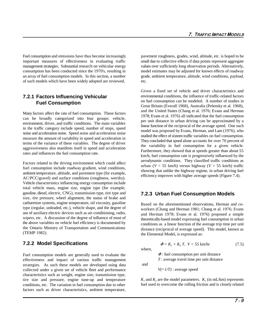Fuel consumption and emissions have thus become increasingly pavement roughness, grades, wind, altitude, etc. is hoped to be important measures of effectiveness in evaluating traffic small due to collective effects if data points represent aggregate management strategies. Substantial research on vehicular energy values over sufficiently long observation periods. Alternatively, consumption has been conducted since the 1970's, resulting in model estimates may be adjusted for known effects of roadway an array of fuel consumption models. In this section, a number grade, ambient temperature, altitude, wind conditions, payload, of such models which have been widely adopted are reviewed. etc.

## **7.2.1 Factors Influencing Vehicular Fuel Consumption**

Many factors affect the rate of fuel consumption. These factors can be broadly categorized into four groups: vehicle, environment, driver, and traffic conditions. The main variables in the traffic category include speed, number of stops, speed noise and acceleration noise. Speed noise and acceleration noise measure the amount of variability in speed and acceleration in terms of the variance of these variables. The degree of driver aggressiveness also manifests itself in speed and acceleration rates and influences the fuel consumption rate.

Factors related to the driving environment which could affect fuel consumption include roadway gradient, wind conditions, ambient temperature, altitude, and pavement type (for example, AC/PCC/gravel) and surface conditions (roughness, wet/dry). Vehicle characteristics influencing energy consumption include total vehicle mass, engine size, engine type (for example, gasoline, diesel, electric, CNG), transmission type, tire type and size, tire pressure, wheel alignment, the status of brake and carburetion systems, engine temperature, oil viscosity, gasoline type (regular, unleaded, etc.), vehicle shape, and the degree of use of auxiliary electric devices such as air-conditioning, radio, wipers, etc. A discussion of the degree of influence of most of the above variables on vehicle fuel efficiency is documented by the Ontario Ministry of Transportation and Communications (TEMP 1982).

### **7.2.2 Model Specifications**

Fuel consumption models are generally used to evaluate the effectiveness and impact of various traffic management strategies. As such these models are developed using data collected under a given set of vehicle fleet and performance characteristics such as weight, engine size, transmission type, tire size and pressure, engine tune-up and temperature conditions, etc. The variation in fuel consumption due to other factors such as driver characteristics, ambient temperature,

Given a fixed set of vehicle and driver characteristics and environmental conditions, the influence of traffic-related factors on fuel consumption can be modeled. A number of studies in Great Britain (Everall 1968), Australia (Pelensky et al. 1968), and the United States (Chang et al. 1976; Evans and Herman 1978; Evans et al. 1976) all indicated that the fuel consumption per unit distance in urban driving can be approximated by a linear function of the reciprocal of the average speed. One such model was proposed by Evans, Herman, and Lam (1976), who studied the effect of sixteen traffic variables on fuel consumption. They concluded that speed alone accounts for over 70 percent of the variability in fuel consumption for a given vehicle. Furthermore, they showed that at speeds greater than about 55 km/h, fuel consumption rate is progressively influenced by the aerodynamic conditions. They classified traffic conditions as urban ( $V < 55$  km/h) versus highway ( $V > 55$  km/h) traffic showing that unlike the highway regime, in urban driving fuel efficiency improves with higher average speeds (Figure 7.4).

### **7.2.3 Urban Fuel Consumption Models**

Based on the aforementioned observations, Herman and coworkers (Chang and Herman 1981; Chang et al. 1976; Evans and Herman 1978; Evans et al. 1976) proposed a simple theoretically-based model expressing fuel consumption in urban conditions as a linear function of the average trip time per unit distance (reciprocal of average speed). This model, known as the Elemental Model, is expressed as:

$$
\Phi = K_1 + K_2 T, \quad V < 55 \text{ km/hr} \tag{7.5}
$$

where,

and

 $\Phi$ : fuel consumption per unit distance *T* : average travel time per unit distance

 $V(=1/T)$ : average speed

 $K_i$  and  $K_j$  are the model parameters.  $K_i$  (in mL/km) represents fuel used to overcome the rolling friction and is closely related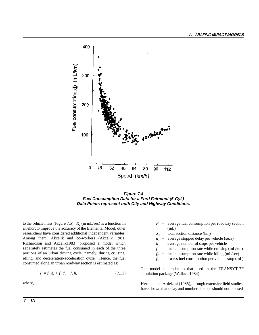

**Figure 7.4 Fuel Consumption Data for a Ford Fairmont (6-Cyl.) Data Points represent both City and Highway Conditions.**

to the vehicle mass (Figure 7.5).  $K_2$  (in mL/sec) is a function In  $F =$  average fuel consumption per roadway section an effort to improve the accuracy of the Elemental Model, other (mL) researchers have considered additional independent variables. Among them, Akcelik and co-workers (Akcelik 1981; Richardson and Akcelik1983) proposed a model which separately estimates the fuel consumed in each of the three portions of an urban driving cycle, namely, during cruising, idling, and deceleration-acceleration cycle. Hence, the fuel consumed along an urban roadway section is estimated as:

$$
F = f_1 X_s + f_2 d_s + f_3 h,\tag{7.11}
$$

where,

- 
- $X<sub>s</sub>$  = total section distance (km)
- $d_s$  = average stopped delay per vehicle (secs)
- *h* = average number of stops per vehicle
- $f_i$  = fuel consumption rate while cruising (mL/km)
- $f<sub>2</sub>$  = fuel consumption rate while idling (mL/sec)
- $f_3$  = excess fuel consumption per vehicle stop (mL)

The model is similar to that used in the TRANSYT-7F simulation package (Wallace 1984).

Herman and Ardekani (1985), through extensive field studies, have shown that delay and number of stops should not be used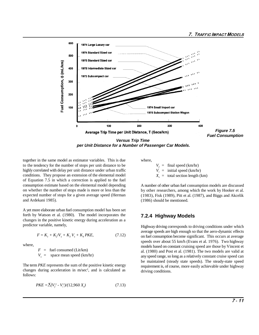

**per Unit Distance for a Number of Passenger Car Models.**

together in the same model as estimator variables. This is due where, to the tendency for the number of stops per unit distance to be highly correlated with delay per unit distance under urban traffic conditions. They propose an extension of the elemental model of Equation 7.5 in which a correction is applied to the fuel consumption estimate based on the elemental model depending on whether the number of stops made is more or less than the expected number of stops for a given average speed (Herman and Ardekani 1985).

A yet more elaborate urban fuel consumption model has been set forth by Watson et al. (1980). The model incorporates the changes in the positive kinetic energy during acceleration as a predictor variable, namely,

$$
F = K_1 + K_2 V_s + K_3 V_s + K_4 PKE,
$$
\n(7.12)

where,

 $F =$  fuel consumed (Lit/km)  $V_e$  = space mean speed (km/hr)

The term *PKE* represents the sum of the positive kinetic energy changes during acceleration in  $m/sec<sup>2</sup>$ , and is calculated as follows:

$$
PKE = \sum (V_f^2 - V_i^2)/(12,960 \, X_s)
$$
\n(7.13)

 $V_f$  = final speed (km/hr)<br>*V<sub>i</sub>* = initial speed (km/hr *i* nitial speed (km/hr)  $\overrightarrow{X}_s$  = total section length (km)

A number of other urban fuel consumption models are discussed by other researchers, among which the work by Hooker et al. (1983), Fisk (1989), Pitt et al. (1987), and Biggs and Akcelik (1986) should be mentioned.

# **7.2.4 Highway Models**

Highway driving corresponds to driving conditions under which average speeds are high enough so that the aero-dynamic effects on fuel consumption become significant. This occurs at average speeds over about 55 km/h (Evans et al. 1976). Two highway models based on constant cruising speed are those by Vincent et al. (1980) and Post et al. (1981). The two models are valid at any speed range, so long as a relatively constant cruise speed can be maintained (steady state speeds). The steady-state speed requirement is, of course, more easily achievable under highway driving conditions.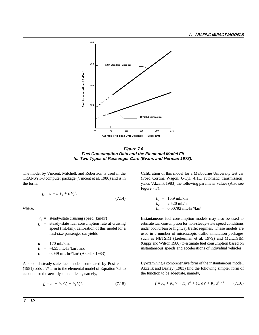

**Figure 7.6 Fuel Consumption Data and the Elemental Model Fit for Two Types of Passenger Cars (Evans and Herman 1978).**

The model by Vincent, Mitchell, and Robertson is used in the Calibration of this model for a Melbourne University test car TRANSYT-8 computer package (Vincent et al. 1980) and is in (Ford Cortina Wagon, 6-Cyl, 4.1L, automatic transmission) the form: yields (Akcelik 1983) the following parameter values (Also see

$$
f_c = a + b V_c + c V_c^2,
$$

where,

 $V_c$  = steady-state cruising speed (km/hr)<br> $f_c$  = steady-state fuel consumption rate at cruising

 $a = 170$  mL/km,  $b = -4.55$  mL-hr/km<sup>2</sup>; and

 $c = 0.049$  mL-hr<sup>2</sup>/km<sup>3</sup> (Akcelik 1983).

A second steady-state fuel model formulated by Post et al. (1981) adds a  $V^2$  term to the elemental model of Equation 7.5 to account for the aero-dynamic effects, namely,

$$
f_c = b_1 + b_2 / V_c + b_3 V_c^2. \tag{7.15}
$$

Figure 7.7):

where,  
\n
$$
b_{1} = 15.9 \text{ mL/km}
$$
\nwhere,  
\n
$$
b_{2} = 2,520 \text{ mL/hr}
$$
\n
$$
b_{3} = 0.00792 \text{ mL/hr}^{2}/\text{km}^{3}
$$

*f* the steady-state fuel consumption rate at cruising estimate fuel consumption for non-steady-state speed conditions speed (mL/km), calibration of this model for a under both urban or highway traffic regimes. These model under both urban or highway traffic regimes. These models are mid-size passenger car yields used in a number of microscopic traffic simulation packages Instantaneous fuel consumption models may also be used to such as NETSIM (Lieberman et al. 1979) and MULTSIM (Gipps and Wilson 1980) to estimate fuel consumption based on instantaneous speeds and accelerations of individual vehicles.

> By examining a comprehensive form of the instantaneous model, Akcelik and Bayley (1983) find the following simpler form of the function to be adequate, namely,

$$
f = K_1 + K_2 V + K_3 V^3 + K_4 aV + K_5 a^2 V / \tag{7.16}
$$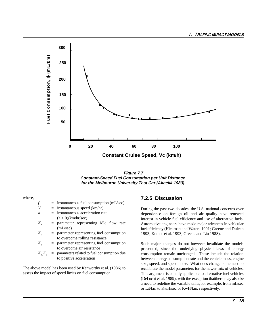

**Figure 7.7 Constant-Speed Fuel Consumption per Unit Distance for the Melbourne University Test Car (Akcelik 1983).**

where,

- $f =$  instantaneous fuel consumption (mL/sec)
- $V =$  instantaneous speed (km/hr)
- *a* = instantaneous acceleration rate  $(a > 0)$ (km/hr/sec)
- $K_i$  = parameter representing idle flow rate (mL/sec)
- $K<sub>2</sub>$  = parameter representing fuel consumption to overcome rolling resistance
- $K<sub>3</sub>$  = parameter representing fuel consumption to overcome air resistance
- $K_4 K_5$  = parameters related to fuel consumption due to positive acceleration

The above model has been used by Kenworthy et al. (1986) to assess the impact of speed limits on fuel consumption.

### **7.2.5 Discussion**

During the past two decades, the U.S. national concerns over dependence on foreign oil and air quality have renewed interest in vehicle fuel efficiency and use of alternative fuels. Automotive engineers have made major advances in vehicular fuel efficiency (Hickman and Waters 1991; Greene and Duleep 1993; Komor et al. 1993; Greene and Liu 1988).

Such major changes do not however invalidate the models presented, since the underlying physical laws of energy consumption remain unchanged. These include the relation between energy consumption rate and the vehicle mass, engine size, speed, and speed noise. What does change is the need to recalibrate the model parameters for the newer mix of vehicles. This argument is equally applicable to alternative fuel vehicles (DeLuchi et al. 1989), with the exception thatthere may also be a need to redefine the variable units, for example, from mL/sec or Lit/km to KwH/sec or KwH/km, respectively.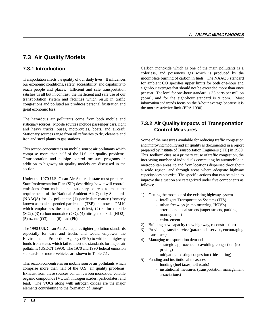# **7.3 Air Quality Models**

# **7.3.1 Introduction**

Transportation affects the quality of our daily lives. It influences our economic conditions, safety, accessibility, and capability to reach people and places. Efficient and safe transportation satisfies us all but in contrast, the inefficient and safe use of our transportation system and facilities which result in traffic congestions and polluted air produces personal frustration and great economic loss.

The hazardous air pollutants come from both mobile and stationary sources. Mobile sources include passenger cars, light and heavy trucks, buses, motorcycles, boats, and aircraft. Stationary sources range from oil refineries to dry cleaners and iron and steel plants to gas stations.

This section concentrates on mobile source air pollutants which comprise more than half of the U.S. air quality problems. Transportation and tailpipe control measure programs in addition to highway air quality models are discussed in the section.

Under the 1970 U.S. Clean Air Act, each state must prepare a State Implementation Plan (SIP) describing how it will controll emissions from mobile and stationary sources to meet the requirements of the National Ambient Air Quality Standards (NAAQS) for six pollutants: (1) particulate matter (formerly known as total suspended particulate (TSP) and now as PM10 which emphasizes the smaller particles), (2) sulfur dioxide (SO2), (3) carbon monoxide (CO), (4) nitrogen dioxide (NO2), (5) ozone (O3), and (6) lead (Pb).

The 1990 U.S. Clean Air Act requires tighter pollution standards especially for cars and trucks and would empower the Environmental Protection Agency (EPA) to withhold highway funds from states which fail to meet the standards for major air pollutants (USDOT 1990). The 1970 and 1990 federal emission standards for motor vehicles are shown in Table 7.1.

This section concentrates on mobile source air pollutants which comprise more than half of the U.S. air quality problems. Exhaust from these sources contain carbon monoxide, volatile organic compounds (VOCs), nitrogen oxides, particulates, and lead. The VOCs along with nitrogen oxides are the major elements contributing to the formation of "smog".

Carbon monoxide which is one of the main pollutants is a colorless, and poisonous gas which is produced by the incomplete burning of carbon in fuels. The NAAQS standard for ambient CO specifies upper limits for both one-hour and eight-hour averages that should not be exceeded more than once per year. The level for one-hour standard is 35 parts per million (ppm), and for the eight-hour standard is 9 ppm. Most information and trends focus on the 8-hour average because it is the more restrictive limit (EPA 1990).

# **7.3.2 Air Quality Impacts of Transportation Control Measures**

Some of the measures available for reducing traffic congestion and improving mobility and air quality is documented in a report prepared by Institute of Transportation Engineers (ITE) in 1989. This "toolbox" cites, as a primary cause of traffic congestion, the increasing number of individuals commuting by automobile in metropolitan areas, to and from locations dispersed throughout a wide region, and through areas where adequate highway capacity does not exist. The specific actions that can be taken to improve the situation are categorized under five components as follows:

- 1) Getting the most out of the existing highway system
	- Intelligent Transportation Systems (ITS)
	- urban freeways (ramp metering, HOV's)
	- arterial and local streets (super streets, parking management)
	- enforcement
- 2) Building new capacity (new highway, reconstruction)
- 3) Providing transit service (paratransit service, encouraging transit use)
- 4) Managing transportation demand
	- strategic approaches to avoiding congestion (road pricing)
	- mitigating existing congestion (ridesharing)
- 5) Funding and institutional measures
	- funding (fuel taxes, toll roads)
	- institutional measures (transportation management associations)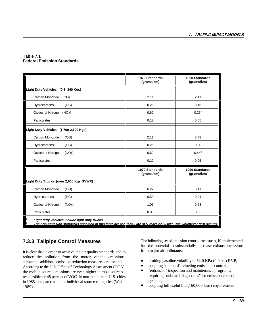### **Table 7.1 Federal Emission Standards**

|                                                                                                                                                                           | 1970 Standards<br>(grams/km) | 1990 Standards<br>(grams/km) |
|---------------------------------------------------------------------------------------------------------------------------------------------------------------------------|------------------------------|------------------------------|
| Light Duty Vehicles <sup>1</sup> (0-3, 340 Kgs)                                                                                                                           |                              |                              |
| Carbon Monoxide (CO)                                                                                                                                                      | 2.11                         | 2.11                         |
| Hydrocarbons<br>(HC)                                                                                                                                                      | 0.25                         | 0.16                         |
| Oxides of Nitrogen (NOx)                                                                                                                                                  | 0.62                         | $0.25^2$                     |
| Particulates                                                                                                                                                              | 0.12                         | 0.05                         |
| Light Duty Vehicles <sup>1</sup> (1,700-2,600 Kgs)                                                                                                                        |                              |                              |
| Carbon Monoxide<br>(CO)                                                                                                                                                   | 2.11                         | 2.73                         |
| (HC)<br>Hydrocarbons                                                                                                                                                      | 0.25                         | 0.20                         |
| Oxides of Nitrogen<br>(NOx)                                                                                                                                               | 0.62                         | $0.44^2$                     |
| Particulates                                                                                                                                                              | 0.12                         | 0.05                         |
|                                                                                                                                                                           | 1970 Standards<br>(grams/km) | 1990 Standards<br>(grams/km) |
| Light Duty Trucks (over 2,600 Kgs GVWR)                                                                                                                                   |                              |                              |
| Carbon Monoxide<br>(CO)                                                                                                                                                   | 6.22                         | 3.11                         |
| Hydrocarbons<br>(HC)                                                                                                                                                      | 0.50                         | 0.24                         |
| Oxides of Nitrogen<br>(NOx)                                                                                                                                               | 1.06                         | 0.68                         |
| Particulates                                                                                                                                                              | 0.08                         | 0.05                         |
| Light duty vehicles include light duty trucks.<br>The new emission standards specified in this table are for useful life of 5 years or 80,000 Kms whichever first occurs. |                              |                              |

# **7.3.3 Tailpipe Control Measures**

It is clear that in order to achieve the air quality standards and to reduce the pollution from the motor vehicle emissions, substantial additional emission reduction measures are essential. According to the U.S. Office of Technology Assessment (OTA), the mobile source emissions are even higher in most sources responsible for 48 percent of VOCs in non-attainment U.S. cities in 1985, compared to other individual source categories (Walsh 1989).

The following set of emission control measures, if implemented, has the potential to substantially decrease exhaust emissions from major air pollutants:

- $\blacksquare$ limiting gasoline volatility to 62.0 KPa (9.0 psi) RVP;
- п adopting "onboard" refueling emissions controls;
- É "enhanced" inspection and maintenance programs; requiring "onboard diagnostics" for emission control systems;
- п adopting full useful life (160,000 kms) requirements;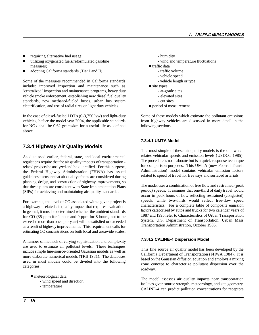- $\blacksquare$ requiring alternative fuel usage;  $\blacksquare$
- $\blacksquare$ utilizing oxygenated fuels/reformulated gasoline - wind and temperature fluctuations measures;<br>measures;<br> $\blacksquare$  traffic data
- $\blacksquare$ adopting California standards (Tier I and II). - traffic volume

Some of the measures recommended in California standards - vehicle length or type include: improved inspection and maintenance such as  $\blacksquare$  site types "centralized" inspection and maintenance programs, heavy duty - at-grade sites vehicle smoke enforcement, establishing new diesel fuel quality - elevated sites standards, new methanol-fueled buses, urban bus system - cut sites  $\blacksquare$  electrification, and use of radial tires on light duty vehicles.  $\blacksquare$  period of measurement

In the case of diesel-fueled LDT's (0-3,750 lvw) and light-duty Some of these models which estimate the pollutant emissions vehicles, before the model year 2004, the applicable standards from highway vehicles are discussed in more detail in the for NOx shall be 0.62 grams/km for a useful life as defined following sections. above.

# **7.3.4 Highway Air Quality Models**

As discussed earlier, federal, state, and local environmental regulations require that the air quality impacts of transportation related projects be analyzed and be quantified. For this purpose, the Federal Highway Administration (FHWA) has issued guidelines to ensure that air quality effects are considered during planning, design, and construction of highway improvements, so that these plans are consistent with State Implementation Plans (SIPs) for achieving and maintaining air quality standards .

For example, the level of CO associated with a given project is a highway - related air quality impact that requires evaluation. In general, it must be determined whether the ambient standards for CO (35 ppm for 1 hour and 9 ppm for 8 hours, not to be exceeded more than once per year) will be satisfied or exceeded as a result of highway improvements. This requirement calls for estimating CO concentrations on both local and areawide scales.

A number of methods of varying sophistication and complexity are used to estimate air pollutant levels. These techniques include simple line-source-oriented Gaussian models as well as more elaborate numerical models (TRB 1981). The databases used in most models could be divided into the following categories:

- meteorological data
	- wind speed and direction
	- temperature

- 
- -
	- vehicle speed
	-
- -
	-
	-
- 

### **7.3.4.1 UMTA Model**

The most simple of these air quality models is the one which relates vehicular speeds and emission levels (USDOT 1985). The procedure is not elaborate but is a quick-response technique for comparison purposes. This UMTA (now Federal Transit Administration) model contains vehicular emission factors related to speed of travel for freeways and surfaced arterials.

The model uses a combination of free flow and restrained (peak period) speeds. It assumes that one-third of daily travel would occur in peak hours of flow reflecting restrained (congested) speeds, while two-thirds would reflect free-flow speed characteristics. For a complete table of composite emission factors categorized by autos and trucks for two calendar years of 1987 and 1995 refer to Characteristics of Urban Transportation System, U.S. Department of Transportation, Urban Mass Transportation Administration, October 1985.

### **7.3.4.2 CALINE-4 Dispersion Model**

This line source air quality model has been developed by the California Department of Transportation (FHWA 1984). It is based on the Gaussian diffusion equation and employs a mixing zone concept to characterize pollutant dispersion over the roadway.

The model assesses air quality impacts near transportation facilities given source strength, meteorology, and site geometry. CALINE-4 can predict pollution concentrations for receptors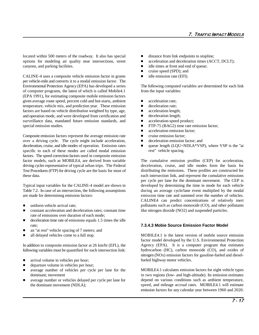located within 500 meters of the roadway. It also has special distance from link endpoints to stopline; options for modeling air quality near intersections, street  $\blacksquare$  acceleration and deceleration times (ACCT, DCLT); canyons, and parking facilities.  $\Box$  idle times at front and end of queue;

CALINE-4 uses a composite vehicle emission factor in grams  $\blacksquare$  idle emission rate (EFI). per vehicle-mile and converts it to a modal emission factor. The Environmental Protection Agency (EPA) has developed a series of computer programs, the latest of which is called Mobile4.1 (EPA 1991), for estimating composite mobile emission factors given average route speed, percent cold and hot-starts, ambient temperature, vehicle mix, and prediction year. These emission factors are based on vehicle distribution weighted by type, age, and operation mode, and were developed from certification and surveillance data, mandated future emission standards, and special emission studies.

Composite emission factors represent the average emission rate over a driving cycle. The cycle might include acceleration, deceleration, cruise, and idle modes of operation. Emission rates specific to each of these modes are called modal emission factors. The speed correction factors used in composite emission factor models, such as MOBILE4, are derived from variable driving cycles representative of typical urban trips. The Federal Test Procedures (FTP) for driving cycle are the basis for most of these data.

Typical input variables for the CALINE-4 model are shown in Table 7.2. In case of an intersection, the following assumptions are made for determining emission factors:

- $\blacksquare$ uniform vehicle arrival rate;
- $\blacksquare$  constant acceleration and deceleration rates; constant time rate of emissions over duration of each mode;
- $\blacksquare$  deceleration time rate of emissions equals 1.5 times the idle rate;
- $\blacksquare$ an "at rest" vehicle spacing of 7 meters; and
- $\blacksquare$ all delayed vehicles come to a full stop.

In addition to composite emission factor at 26 km/hr (EFL), the following variables must be quantified for each intersection link:

- $\blacksquare$ arrival volume in vehicles per hour;
- $\blacksquare$ departure volume in vehicles per hour;
- $\blacksquare$  average number of vehicles per cycle per lane for the dominant; movement
- $\blacksquare$  average number or vehicles delayed per cycle per lane for the dominant movement (NDLA);
- 
- 
- 
- $\blacksquare$ cruise speed (SPD); and
- 

The following computed variables are determined for each link from the input variables:

- $\blacksquare$ acceleration rate;
- $\blacksquare$ deceleration rate;
- $\blacksquare$ acceleration length;
- Ē deceleration length;
- $\blacksquare$ acceleration-speed product;
- $\blacksquare$ FTP-75 (BAG2) time rate emission factor;
- $\blacksquare$ acceleration emission factor;
- $\blacksquare$ cruise emission factor;
- $\blacksquare$ deceleration emission factor; and
- Ē queue length (LQU=NDLA\*VSP), where VSP is the "at rest" vehicle spacing.

The cumulative emission profiles (CEP) for acceleration, deceleration, cruise, and idle modes form the basis for distributing the emissions. These profiles are constructed for each intersection link, and represent the cumulative emissions per cycle per lane for the dominant movement. The CEP is developed by determining the time in mode for each vehicle during an average cycle/lane event multiplied by the modal emission time rate and summed over the number of vehicles. CALINE4 can predict concentrations of relatively inert pollutants such as carbon monoxide (CO), and other pollutants like nitrogen dioxide (NO2) and suspended particles.

### **7.3.4.3 Mobie Source Emission Factor Model**

MOBILE4.1 is the latest version of mobile source emission factor model developed by the U.S. Environmental Protection Agency (EPA). It is a computer program that estimates hydrocarbon (HC), carbon monoxide (CO), and oxides of nitrogen (NOx) emission factors for gasoline-fueled and dieselfueled highway motor vehicles.

MOBILE4.1 calculates emission factors for eight vehicle types in two regions (low- and high-altitude). Its emission estimates depend on various conditions such as ambient temperature, speed, and mileage accrual rates. MOBILE4.1 will estimate emission factors for any calendar year between 1960 and 2020.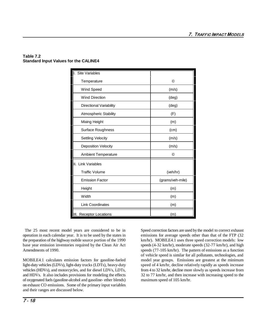### **Table 7.2 Standard Input Values for the CALINE4**

| <b>Site Variables</b>              |                  |
|------------------------------------|------------------|
| Temperature                        | ©                |
| Wind Speed                         | (m/s)            |
| <b>Wind Direction</b>              | $(\text{deg})$   |
| Directional Variability            | $(\text{deg})$   |
| <b>Atmospheric Stability</b>       | (F)              |
| Mixing Height                      | (m)              |
| Surface Roughness                  | (cm)             |
| <b>Settling Velocity</b>           | (m/s)            |
| <b>Deposition Velocity</b>         | (m/s)            |
| <b>Ambient Temperature</b>         | ◎                |
| II. Link Variables                 |                  |
| <b>Traffic Volume</b>              | (veh/hr)         |
| <b>Emission Factor</b>             | (grams/veh-mile) |
| Height                             | (m)              |
| Width                              | (m)              |
| <b>Link Coordinates</b>            | (m)              |
| <b>Receptor Locations</b><br>IIII. | (m)              |

The 25 most recent model years are considered to be in Speed correction factors are used by the model to correct exhaust operation in each calendar year. It is to be used by the states in emissions for average speeds other than that of the FTP (32 the preparation of the highway mobile source portion of the 1990 km/hr). MOBILE4.1 uses three speed correction models: low base year emission inventories required by the Clean Air Act speeds (4-32 km/hr), moderate speeds (32-77 km/hr), and high Amendments of 1990. Speeds (77-105 km/hr). The pattern of emissions as a function

MOBILE4.1 calculates emission factors for gasoline-fueled model year groups. Emissions are greatest at the minimum light-duty vehicles (LDVs), light-duty trucks (LDTs), heavy-duty speed of 4 km/hr, decline relatively rapidly as speeds increase vehicles (HDVs), and motorcycles, and for diesel LDVs, LDTs, from 4 to 32 km/hr, decline more slowly as speeds increase from and HDVs. It also includes provisions for modeling the effects 32 to 77 km/hr, and then increase with increasing speed to the of oxygenated fuels (gasoline-alcohol and gasoline- ether blends) maximum speed of 105 km/hr. on exhaust CO emissions. Some of the primary input variables and their ranges are discussed below.

of vehicle speed is similar for all pollutants, technologies, and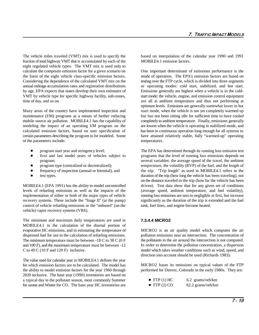The vehicle miles traveled (VMT) mix is used to specify the based on interpolation of the calendar year 1990 and 1991 fraction of total highway VMT that is accumulated by each of the MOBILE4.1 emission factors. eight regulated vehicle types. The VMT mix is used only to calculate the composite emission factor for a given scenario on One important determinant of emissions performance is the the basis of the eight vehicle class-specific emission factors. mode of operation. The EPA's emission factors are based on Considering the dependence of the calculated VMT mix on the testing over the FTP cycle, which is divided into three segments annual mileage accumulation rates and registration distributions or operating modes: cold start, stabilized, and hot start. by age, EPA expects that states develop their own estimates of Emissions generally are highest when a vehicle is in the cold-VMT by vehicle type for specific highway facility, sub-zones, start mode: the vehicle, engine, and emission control equipment time of day, and so on. are all at ambient temperature and thus not performing at

Many areas of the country have implemented inspection and start mode, when the vehicle is not yet completely warmed up maintenance (I/M) programs as a means of further reducing but has not been sitting idle for sufficient time to have cooled mobile source air pollution. MOBILE4.1 has the capability of completely to ambient temperature. Finally, emissions generally modeling the impact of an operating I/M program on the are lowest when the vehicle is operating i calculated emission factors, based on user specification of has been in continuous operation long enough for all systems to certain parameters describing the program to be modeled. Some have attained relatively stable, fully "warmed-up" operating of the parameters include: temperatures.

- $\blacksquare$
- $\blacksquare$
- П
- $\blacksquare$
- $\blacksquare$

MOBILE4.1 (EPA 1991) has the ability to model uncontrolled driven). Test data show that for any given set of conditions levels of refueling emissions as well as the impacts of the (average speed, ambient temperature, and fuel volatility), implementation of either or both of the major types of vehicle running loss emissions are zero to negligible at first, but increase recovery systems. These include the "Stage II" (at the pump) significantly as the duration of the trip is extended and the fuel control of vehicle refueling emissions or the "onboard" (on the tank, fuel lines, and engine become heated. vehicle) vapor recovery systems (VRS).

The minimum and maximum daily temperatures are used in **7.3.4.4 MICRO2** MOBILE4.1 in the calculation of the diurnal portion of evaporative HC emissions, and in estimating the temperature of dispensed fuel for use in the calculation of refueling emissions. The minimum temperature must be between -18 C to 38 C (0 F and 100 F), and the maximum temperature must be between -12 C to 49 C (10 F and 120 F) inclusive.

The value used for calendar year in MOBILE4.1 defines the year for which emission factors are to be calculated. The model has the ability to model emission factors for the year 1960 through 2020 inclusive. The base year (1990) inventories are based on a typical day in the pollutant season, most commonly Summer for ozone and Winter for CO. The base year HC inventories are

are lowest when the vehicle is operating in stabilized mode, and optimum levels. Emissions are generally somewhat lower in hot

 program start year and stringency level; The EPA has determined through its running loss emission test first and last model years of vehicles subject to programs that the level of running loss emissions depends on program; several variables: the average speed of the travel, the ambient program type (centralized or decentralized); temperature, the volatility (RVP) of the fuel, and the length of frequency of inspection (annual or biennial); and the trip. "Trip length" as used in MOBILE4.1 refers to the test types. duration of the trip (how long the vehicle has been traveling), not on the distance traveled in the trip (how far the vehicle has been

MICRO2 is an air quality model which computes the air pollution emissions near an intersection. The concentration of the pollutants in the air around the intersection is not computed. In order to determine the pollution concentration, a dispersion model which takes weather conditions such as wind, speed, and direction into account should be used (Richards 1983).

MICRO2 bases its emissions on typical values of the FTP performed for Denver, Colorado in the early 1980s. They are:

- FTP  $(1)$  HC 6.2 grams/veh/km
- FTP  $(2)$  CO 62.2 grams/veh/km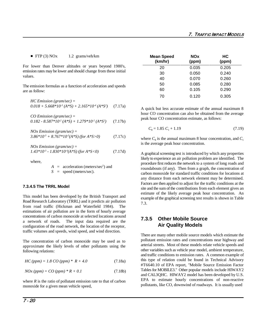FTP (3) NOx  $1.2$  grams/veh/km

For lower than Denver altitudes or years beyond 1980's, emission rates may be lower and should change from these initial values.

The emission formulas as a function of acceleration and speeds are as follow:

 *HC Emission (gram/sec) = 0.018 + 5.668\*10 (A\*S) + 2.165\*10 (A\*S )* (7.17a) *-3 -4 <sup>2</sup> CO Emission (gram/sec) =*

 $0.182 - 8.587 * 10<sup>2</sup> (A *S) + 1.279 * 10<sup>2</sup> (A *S<sup>2</sup>)$  (7.17b)

 *NOx Emission (gram/sec) =*  $3.86*10^{3} + 8.767*10^{3}(A*S)$  *(for A\*S>0)* (7.17c)

 *NOx Emission (gram/sec) = 1.43\*10<sup>-3</sup> - 1.830\*10<sup>-4</sup>(A\*S) (for A\*S<0)* (7.17d)

where,

 $A =$  acceleration (meters/sec<sup>2</sup>) and *S* = speed (meters/sec).

### **7.3.4.5 The TRRL Model**

This model has been developed by the British Transport and Road Research Laboratory (TRRL) and it predicts air pollution from road traffic (Hickman and Waterfield 1984). The estimations of air pollution are in the form of hourly average concentrations of carbon monoxide at selected locations around a network of roads. The input data required are the configuration of the road network, the location of the receptor, traffic volumes and speeds, wind speed, and wind direction.

The concentration of carbon monoxide may be used as to approximate the likely levels of other pollutants using the following relations:

*HC* (*ppm*) = 1.8 *CO* (*ppm*) \*  $R + 4.0$  (7.18a)

 $NOx (ppm) = CO (ppm) * R + 0.1$  (7.18b)

where  $R$  is the ratio of pollutant emission rate to that of carbon monoxide for a given mean vehicle speed,

| <b>Mean Speed</b><br>(km/hr) | <b>NOx</b><br>(ppm) | HС<br>(ppm) |
|------------------------------|---------------------|-------------|
| 20                           | 0.035               | 0.205       |
| 30                           | 0.050               | 0.240       |
| 40                           | 0.070               | 0.260       |
| 50                           | 0.085               | 0.280       |
| 60                           | 0.105               | 0.290       |
| 70                           | 0.120               | 0.305       |

A quick but less accurate estimate of the annual maximum 8 hour CO concentration can also be obtained from the average peak hour CO concentration estimate, as follows:

$$
C_8 = 1.85 C_1 + 1.19 \tag{7.19}
$$

where  $C_8$  is the annual maximum 8 hour concentration, and  $C_1$ is the average peak hour concentration.

A graphical screening test is introduced by which any properties likely to experience an air pollution problem are identified. The procedure first reduces the network to a system of long roads and roundabouts (if any). Then from a graph, the concentration of carbon monoxide for standard traffic conditions for locations at any distance from each network element may be determined. Factors are then applied to adjust for the traffic conditions at the site and the sum of the contributions from each element gives an estimate of the likely average peak hour concentration. An example of the graphical screening test results is shown in Table 7.3.

# **7.3.5 Other Mobile Source Air Quality Models**

There are many other mobile source models which estimate the pollutant emission rates and concentrations near highway and arterial streets. Most of these models relate vehicle speeds and other variables such as vehicle year model, ambient temperature, and traffic conditions to emission rates. A common example of this type of relation could be found in Technical Advisory #T6640.10 of EPA report, "Mobile Source Emission Factor Tables for MOBILE3." Other popular models include HIWAY2 and CAL3QHC. HIWAY2 model has been developed by U.S. EPA to estimate hourly concentrations of non-reactive pollutants, like CO, downwind of roadways. It is usually used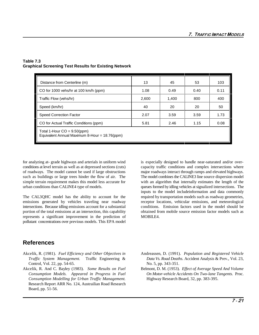| Distance from Centerline (m)                                                   | 13    | 45    | 53   | 103  |  |  |
|--------------------------------------------------------------------------------|-------|-------|------|------|--|--|
| CO for 1000 vehs/hr at 100 km/h (ppm)                                          | 1.08  | 0.49  | 0.40 | 0.11 |  |  |
| Traffic Flow (vehs/hr)                                                         | 2,600 | 1,400 | 800  | 400  |  |  |
| Speed (km/hr)                                                                  | 40    | 20    | 20   | 50   |  |  |
| <b>Speed Correction Factor</b>                                                 | 2.07  | 3.59  | 3.59 | 1.73 |  |  |
| CO for Actual Traffic Conditions (ppm)                                         | 5.81  | 2.46  | 1.15 | 0.08 |  |  |
| Total 1-Hour $CO = 9.50(ppm)$<br>Equivalent Annual Maximum 8-Hour = 18.76(ppm) |       |       |      |      |  |  |

### **Table 7.3 Graphical Screening Test Results for Existing Network**

for analyzing at- grade highways and arterials in uniform wind is especially designed to handle near-saturated and/or overconditions at level terrain as well as at depressed sections (cuts) capacity traffic conditions and complex intersections where of roadways. The model cannot be used if large obstructions major roadways interact through ramps and elevated highways. such as buildings or large trees hinder the flow of air. The The model combines the CALINE3 line source dispersion model simple terrain requirement makes this model less accurate for with an algorithm that internally estimates the length of the

The CAL3QHC model has the ability to account for the required by transportation models such as roadway geometries, emissions generated by vehicles traveling near roadway receptor locations, vehicular emissions, and meteorological intersections. Because idling emissions account for a substantial conditions. Emission factors used in the model should be portion of the total emissions at an intersection, this capability obtained from mobile source emission factor models such as represents a significant improvement in the prediction of MOBILE4. pollutant concentrations over previous models. This EPA model

urban conditions than CALINE4 type of models. queues formed by idling vehicles at signalized intersections. The inputs to the model includeinformation and data commonly

# **References**

- Akcelik, R. (1981). *Fuel Efficiency and Other Objectives in* Andreassen, D. (1991). *Population and Registered Vehicle* Control, Vol. 22, pp. 54-65. No. 5, pp. 343-351.
- Akcelik, R. And C. Bayley (1983). *Some Results on Fuel* Belmont, D. M. (1953). *Effect of Average Speed And Volume Consumption Modelling for Urban Traffic Management.* Research Report ARR No. 124, Austrailian Road Research Board, pp. 51-56.
- *Traffic System Management.* Traffic Engineering & *Data Vs. Road Deaths.* Accident Analysis & Prev., Vol. 23,
	- *Consumption Models. Appeared in Progress in Fuel On Motor-vehicle Accidents On Two-lane Tangents.* Proc. Highway Research Board, 32, pp. 383-395.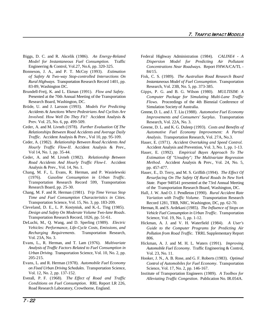- Biggs, D. C. and R. Akcelik (1986). *An Energy-Related* Federal Highway Administration (1984). *CALINE4 A* Engineering & Control, Vol.27, No.6, pp. 320-325.
- Bonneson, J. A., and P. T. McCoy (1993). *Estimation* 84/15. 83-89, Washington DC. The Contract of the Research, Vol. 23B, No. 5, pp. 373-385.
- Presented at the 70th Annual Meeting of the Transportation Research Board, Washington, DC.
- Brüde, U. and J. Larsson (1993). *Models For Predicting Accidents At Junctions Where Pedestrians And Cyclists Are Involved. How Well Do They Fit?* Accident Analysis & Prev. Vol. 25, No. 6, pp. 499-509.
- Ceder, A. and M. Livneh (1978). *Further Evaluation Of The Relationships Between Road Accidents and Average Daily Traffic.* Accident Analysis & Prev., Vol 10, pp. 95-109.
- Ceder, A. (1982). *Relationship Between Road Accidents And* Vol 14, No. 1, pp. 35-44.
- Ceder, A. and M. Livneh (1982). *Relationship Between Road Accidents And Hourly Traffic Flow-I*. Accident Analysis & Prev., Vol. 14, No. 1.
- Chang, M. F., L. Evans, R. Herman, and P. Wasielewski (1976). *Gasoline Consumption in Urban Traffic*. Transportation Research Record 599, Transportation Research Board, pp. 25-30.
- Chang, M. F. and R. Herman (1981). *Trip Time Versus Stop Time and Fuel Consumption Characteristics in Cities.* Transportation Science, Vol. 15, No. 3, pp. 183-209.
- Cleveland, D. E., L. P. Kostyniuk, and K.-L. Ting (1985). *Design and Safety On Moderate Volume Two-lane Roads*. Transportation Research Record, 1026, pp. 51-61.
- DeLuchi, M., Q. Wang, and D. Sperling (1989). *Electric Vehicles: Performance, Life-Cycle Costs, Emissions, and Recharging Requirements*. Transportation Research, Vol. 23A, No. 3.
- Evans, L., R. Herman, and T. Lam (1976). *Multivariate Analysis of Traffic Factors Related to Fuel Consumption in Urban Driving*. Transportation Science, Vol. 10, No. 2, pp. 205-215.
- Evans, L. and R. Herman (1978). *Automobile Fuel Economy on Fixed Urban Driving Schedules*. Transportation Science, Vol. 12, No. 2, pp. 137-152.
- Everall, P. F. (1968). *The Effect of Road and Traffic Conditions on Fuel Consumption*. RRL Report LR 226, Road Research Laboratory, Crowthorne, England.
- *Model for Instantaneous Fuel Consumption.* Traffic *Dispersion Model for Predicting Air Pollutant Concentrations Near Roadways*. Report FHWA/CA/TL -
- *of Safety At Two-way Stop-controlled Intersections On* Fisk, C. S. (1989). *The Australian Road Research Board Rural Highways*. Transportation Research Record 1401, pp. *Instantaneous Model of Fuel Consumption*. Transportation
- Brundell-Freij, K. and L. Ekman (1991). *Flow and Safety*. Gipps, P. G. and B. G. Wilson (1980). *MULTISIM: A Computer Package for Simulating Multi-Lane Traffic Flows*. Proceedings of the 4th Biennial Conference of Simulation Society of Australia.
	- Greene, D. L. and J. T. Liu (1988). *Automotive Fuel Economy Improvements and Consumers' Surplus*. Transportation Research, Vol. 22A, No. 3.
	- Greene, D. L. and K. G. Duleep (1993). *Costs and Benefits of Automotive Fuel Economy Improvement: A Partial Analysis*. Transportation Research, Vol. 27A, No.3.
	- *Hourly Traffic Flow-II*. Accident Analysis & Prev., Accident Analysis and Prevention, Vol. 3, No. 1, pp. 1-13. Hauer, E. (1971). *Accident Overtaking and Speed Control*.
		- Hauer, E. (1992). *Empirical Bayes Approach To The Estimation Of "Unsafety"; The Multivariate Regression Method*. Accident Analysis & Prev., Vol. 24, No. 5, pp. 457-477.
		- Hauer, E., D. Terry, and M. S. Griffith (1994). *The Effect Of Resurfacing On The Safety Of Rural Roads In New York State*. Paper 940541 presented at the 73rd Annual Meeting of the Transportation Research Board, Washington, DC.
		- Hall, J. W. And O. J. Pendleton (1990). *Rural Accident Rate Variation with Traffic Volume.* Transportation Research Record 1281, TRB, NRC, Washington, DC, pp. 62-70.
		- Herman, R. and S. Ardekani (1985). *The Influence of Stops on Vehicle Fuel Consumption in Urban Traffic*. Transportation Science, Vol. 19, No. 1, pp. 1-12.
		- Hickman, A. J. and V. H. Waterfield (1984). *A User's Guide to the Computer Programs for Predicting Air Pollution from Road Traffic*. TRRL Supplementary Report 806.
		- Hickman, A. J. and M. H. L. Waters (1991). *Improving Automobile Fuel Economy*. Traffic Engineering & Control, Vol. 23, No. 11.
		- Hooker, J. N., A. B. Rose, and G. F. Roberts (1983). *Optimal Control of Automobiles for Fuel Economy*. Transportation Science, Vol. 17, No. 2, pp. 146-167.
		- Institute of Transportation Engineers (1989). *A Toolbox for Alleviating Traffic Congestion*. Publication No. IR.054A.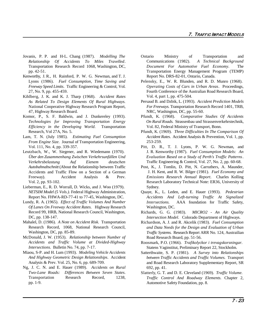- Jovanis, P. P. and H-L. Chang (1987). *Modelling The Relationship Of Accidents To Miles Travelled*.
- Kenworthy, J. R., H. Rainford, P. W. G. Newman, and T. J. Report No. DRS-82-01, Ontario, Canada. Lyons (1986). *Fuel Consumption, Time Saving and Freeway Speed Limits*. Traffic Engineering & Control, Vol. 27, No. 9, pp. 455-459.
- Kihlberg, J. K. and K. J. Tharp (1968). *Accident Rates As Related To Design Elements Of Rural Highways.* National Cooperative Highway Research Program Report, 47, Highway Research Board.
- Komor, P., S. F. Baldwin, and J. Dunkereley (1993). Pfundt, K. (1968). *Comparative Studies Of Accidents Efficiency in the Developing World*. Transportation
- Lam, T. N. (July 1985). *Estimating Fuel Consumption Accident Rates*. Accident Analysis & Prevention, Vol. 1, pp. *From Engine Size*. Journal of Transportation Engineering, Vol. 111, No. 4, pp. 339-357.
- *Verkehrsbelastung Auf Eienem deutschen Autobahnabschnitt* (About the Relationship between Traffic Accidents and Traffic Flow on a Section of a German
- Lieberman, E., R. D. Worrall, D. Wicks, and J. Woo (1979). Sydney. Report No. FHWA-RD-77-41 to 77-45, Washington, DC.
- Lundy, R. A. (1965). *Effect of Traffic Volumes And Number Of Lanes On Freeway Accident Rates.* Highway Research Washington, DC. Record 99, HRB, National Research Council, Washington, DC, pp. 138-147.
- Mahalel, D. (1986). *A Note on Accident Risk.* Transportation Research Record, 1068, National Research Council, Washington, DC, pp. 85-89.
- McDonald, J. W. (1953). *Relationship between Number of Accidents and Traffic Volume at Divided-Highway Intersections.* Bulletin No. 74, pp. 7-17.
- Miaou, S-P. and H. Lum (1993). *Modeling Vehicle Accidents And Highway Geometric Design Relationships*. Accident Analysis & Prev. Vol. 25, No. 6, pp. 689-709.
- Ng, J. C. N. and E. Hauer (1989). *Accidents on Rural Two-Lane Roads: Differences Between Seven States*. Transportation Research Record, 1238, pp. 1-9.
- Transportation Research Record 1068, Washington, DC, *Document For Automotive Fuel Economy*. The pp. 42-51. Transportation Energy Management Program (TEMP) Ontario Ministry of Transportation and Communications (1982). *A Technical Background*
	- Pelensky, E., W. R. Blunden, and R. D. Munro (1968). *Operating Costs of Cars in Urban Areas*. Proceedings, Fourth Conference of the Australian Road Research Board, Vol. 4, part 1, pp. 475-504.
	- Persaud B. and Dzbik, L. (1993). *Accident Prediction Models For Freeways.* Transportation Research Record 1401, TRB, NRC, Washington, DC, pp. 55-60.
- *Technologies for Improving Transportation Energy On Rural Roads.* Strassenbau und Strassenverkehrstechnik, Vol. 82, Federal Ministry of Transport, Bonn.
- Research, Vol 27A, No. 5. Pfundt, K. (1969). *Three Difficulties In The Comparison Of* 253-259.
- Leutzbach, W., W. Siegener, and R. Wiedemann (1970). J. R. Kenworthy (1987). *Fuel Consumption Models: An Über den Zusammenhang Zwischen Verkehrsunfällen Und Evaluation Based on a Study of Perth's Traffic Patterns*. Pitt, D. R., T. J. Lyons, P. W. G. Newman, and Traffic Engineering & Control, Vol. 27, No. 2, pp. 60-68.
	- Freeway). Accident Analysis & Prev. *Emissions Research Annual Report*. Charles Kolling Vol. 2, pp. 93-102. Research Laboratory Technical Note: ER36, University of Post, K., J. Tomlin, D. Pitt, N. Carruthers, A. Maunder, J. H. Kent, and R. W. Bilger (1981). *Fuel Economy and*
	- *NETSIM Model (5 Vols.)*. Federal Highway Administration, Quaye, K., L. Leden, and E. Hauer (1993). *Pedestrian Accidents And Left-turning Traffic At Signalized Intersections.* AAA foundation for Traffic Safety,
		- Richards, G. G. (1983). *MICRO2 An Air Quality Intersection Model*. Colorado Department of Highways.
		- Richardson, A. J. and R. Akcelik (1983). *Fuel Consumption and Data Needs for the Design and Evaluation of Urban Traffic Systems.* Research Report ARR No. 124, Austrailian Road Research Board, pp. 51-56.
		- Roosmark, P.O. (1966). *Trafikolyckor i trevagskorsningar.* Statens Vaginstitut, Preliminary Report 22, Stockholm.
		- Satterthwaite, S. P. (1981). *A Survey into Relationships between Traffic Accidents and Traffic Volumes.* Transport and Road Research Laboratory Supplementary Report, SR 692, pp. 41.
		- Slatterly, G. T. and D. E. Cleveland (1969). *Traffic Volume. Traffic Control And Roadway Elements.* Chapter 2, Automotive Safety Foundation, pp. 8.